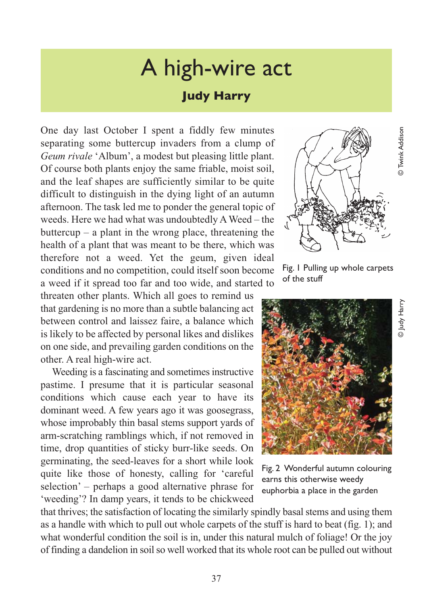## A high-wire act

## **Judy Harry**

One day last October I spent a fiddly few minutes separating some buttercup invaders from a clump of *Geum rivale* 'Album', a modest but pleasing little plant. Of course both plants enjoy the same friable, moist soil, and the leaf shapes are sufficiently similar to be quite difficult to distinguish in the dying light of an autumn afternoon. The task led me to ponder the general topic of weeds. Here we had what was undoubtedly A Weed – the buttercup – a plant in the wrong place, threatening the health of a plant that was meant to be there, which was therefore not a weed. Yet the geum, given ideal conditions and no competition, could itself soon become a weed if it spread too far and too wide, and started to

threaten other plants. Which all goes to remind us that gardening is no more than a subtle balancing act between control and laissez faire, a balance which is likely to be affected by personal likes and dislikes on one side, and prevailing garden conditions on the other. A real high-wire act.

Weeding is a fascinating and sometimes instructive pastime. I presume that it is particular seasonal conditions which cause each year to have its dominant weed. A few years ago it was goosegrass, whose improbably thin basal stems support yards of arm-scratching ramblings which, if not removed in time, drop quantities of sticky burr-like seeds. On germinating, the seed-leaves for a short while look quite like those of honesty, calling for 'careful selection' – perhaps a good alternative phrase for 'weeding'? In damp years, it tends to be chickweed



Fig. 1 Pulling up whole carpets of the stuff



Fig. 2 Wonderful autumn colouring earns this otherwise weedy euphorbia a place in the garden

that thrives; the satisfaction of locating the similarly spindly basal stems and using them as a handle with which to pull out whole carpets of the stuff is hard to beat (fig. 1); and what wonderful condition the soil is in, under this natural mulch of foliage! Or the joy of finding a dandelion in soil so well worked that its whole root can be pulled out without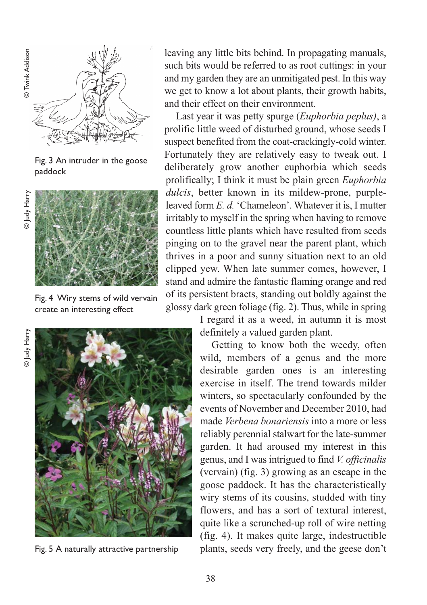

Fig. 3 An intruder in the goose paddock



Fig. 4 Wiry stems of wild vervain create an interesting effect

© Judy Harry © Judy Harry



Fig. 5 A naturally attractive partnership

leaving any little bits behind. In propagating manuals, such bits would be referred to as root cuttings: in your and my garden they are an unmitigated pest. In this way we get to know a lot about plants, their growth habits, and their effect on their environment.

Last year it was petty spurge (*Euphorbia peplus)*, a prolific little weed of disturbed ground, whose seeds I suspect benefited from the coat-crackingly-cold winter. Fortunately they are relatively easy to tweak out. I deliberately grow another euphorbia which seeds prolifically; I think it must be plain green *Euphorbia dulcis*, better known in its mildew-prone, purpleleaved form *E. d.* 'Chameleon'. Whatever it is, I mutter irritably to myself in the spring when having to remove countless little plants which have resulted from seeds pinging on to the gravel near the parent plant, which thrives in a poor and sunny situation next to an old clipped yew. When late summer comes, however, I stand and admire the fantastic flaming orange and red of its persistent bracts, standing out boldly against the glossy dark green foliage (fig. 2). Thus, while in spring

> I regard it as a weed, in autumn it is most definitely a valued garden plant.

Getting to know both the weedy, often wild, members of a genus and the more desirable garden ones is an interesting exercise in itself. The trend towards milder winters, so spectacularly confounded by the events of November and December 2010, had made *Verbena bonariensis* into a more or less reliably perennial stalwart for the late-summer garden. It had aroused my interest in this genus, and I was intrigued to find *V. officinalis* (vervain) (fig. 3) growing as an escape in the goose paddock. It has the characteristically wiry stems of its cousins, studded with tiny flowers, and has a sort of textural interest, quite like a scrunched-up roll of wire netting (fig. 4). It makes quite large, indestructible plants, seeds very freely, and the geese don't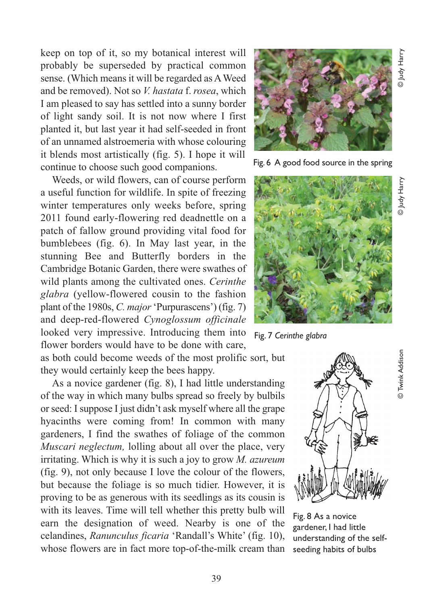keep on top of it, so my botanical interest will probably be superseded by practical common sense. (Which means it will be regarded as A Weed and be removed). Not so *V. hastata* f. *rosea*, which I am pleased to say has settled into a sunny border of light sandy soil. It is not now where I first planted it, but last year it had self-seeded in front of an unnamed alstroemeria with whose colouring it blends most artistically (fig. 5). I hope it will continue to choose such good companions.

Weeds, or wild flowers, can of course perform a useful function for wildlife. In spite of freezing winter temperatures only weeks before, spring 2011 found early-flowering red deadnettle on a patch of fallow ground providing vital food for bumblebees (fig. 6). In May last year, in the stunning Bee and Butterfly borders in the Cambridge Botanic Garden, there were swathes of wild plants among the cultivated ones. *Cerinthe glabra* (yellow-flowered cousin to the fashion plant of the 1980s, *C. major* 'Purpurascens') (fig. 7) and deep-red-flowered *Cynoglossum officinale* looked very impressive. Introducing them into flower borders would have to be done with care,

as both could become weeds of the most prolific sort, but they would certainly keep the bees happy.

As a novice gardener (fig. 8), I had little understanding of the way in which many bulbs spread so freely by bulbils or seed: I suppose I just didn't ask myself where all the grape hyacinths were coming from! In common with many gardeners, I find the swathes of foliage of the common *Muscari neglectum,* lolling about all over the place, very irritating. Which is why it is such a joy to grow *M. azureum* (fig. 9), not only because I love the colour of the flowers, but because the foliage is so much tidier. However, it is proving to be as generous with its seedlings as its cousin is with its leaves. Time will tell whether this pretty bulb will earn the designation of weed. Nearby is one of the celandines, *Ranunculus ficaria* 'Randall's White' (fig. 10), whose flowers are in fact more top-of-the-milk cream than



Fig. 6 A good food source in the spring



Fig. 7 *Cerinthe glabra*



Fig. 8 As a novice gardener, I had little understanding of the selfseeding habits of bulbs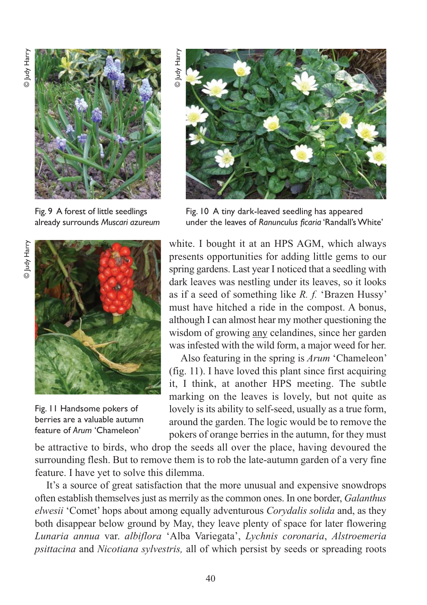

Fig. 9 A forest of little seedlings already surrounds *Muscari azureum*



Fig. 11 Handsome pokers of berries are a valuable autumn feature of *Arum* 'Chameleon'

© Judy HarryJudy Harry



Fig. 10 A tiny dark-leaved seedling has appeared under the leaves of *Ranunculus ficaria* 'Randall's White'

white. I bought it at an HPS AGM, which always presents opportunities for adding little gems to our spring gardens. Last year I noticed that a seedling with dark leaves was nestling under its leaves, so it looks as if a seed of something like *R. f.* 'Brazen Hussy' must have hitched a ride in the compost. A bonus, although I can almost hear my mother questioning the wisdom of growing any celandines, since her garden was infested with the wild form, a major weed for her.

Also featuring in the spring is *Arum* 'Chameleon' (fig. 11). I have loved this plant since first acquiring it, I think, at another HPS meeting. The subtle marking on the leaves is lovely, but not quite as lovely is its ability to self-seed, usually as a true form, around the garden. The logic would be to remove the pokers of orange berries in the autumn, for they must

be attractive to birds, who drop the seeds all over the place, having devoured the surrounding flesh. But to remove them is to rob the late-autumn garden of a very fine feature. I have yet to solve this dilemma.

It's a source of great satisfaction that the more unusual and expensive snowdrops often establish themselves just as merrily as the common ones. In one border, *Galanthus elwesii* 'Comet' hops about among equally adventurous *Corydalis solida* and, as they both disappear below ground by May, they leave plenty of space for later flowering *Lunaria annua* var. *albiflora* 'Alba Variegata', *Lychnis coronaria*, *Alstroemeria psittacina* and *Nicotiana sylvestris,* all of which persist by seeds or spreading roots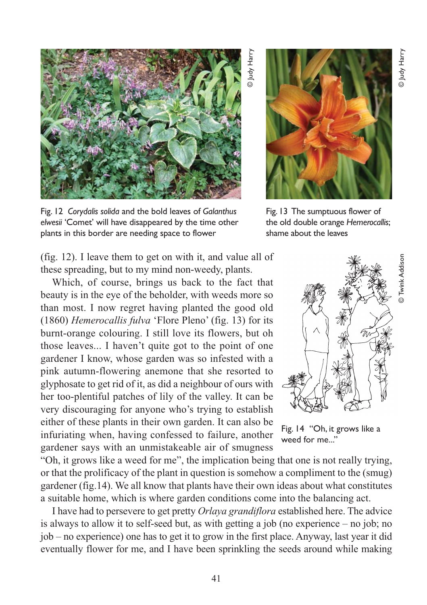

Fig. 12 *Corydalis solida* and the bold leaves of *Galanthus elwesii* 'Comet' will have disappeared by the time other plants in this border are needing space to flower

(fig. 12). I leave them to get on with it, and value all of these spreading, but to my mind non-weedy, plants.

Which, of course, brings us back to the fact that beauty is in the eye of the beholder, with weeds more so than most. I now regret having planted the good old (1860) *Hemerocallis fulva* 'Flore Pleno' (fig. 13) for its burnt-orange colouring. I still love its flowers, but oh those leaves... I haven't quite got to the point of one gardener I know, whose garden was so infested with a pink autumn-flowering anemone that she resorted to glyphosate to get rid of it, as did a neighbour of ours with her too-plentiful patches of lily of the valley. It can be very discouraging for anyone who's trying to establish either of these plants in their own garden. It can also be infuriating when, having confessed to failure, another gardener says with an unmistakeable air of smugness

"Oh, it grows like a weed for me", the implication being that one is not really trying, or that the prolificacy of the plant in question is somehow a compliment to the (smug) gardener (fig.14). We all know that plants have their own ideas about what constitutes a suitable home, which is where garden conditions come into the balancing act.

I have had to persevere to get pretty *Orlaya grandiflora* established here. The advice is always to allow it to self-seed but, as with getting a job (no experience – no job; no job – no experience) one has to get it to grow in the first place. Anyway, last year it did eventually flower for me, and I have been sprinkling the seeds around while making

Fig. 13 The sumptuous flower of the old double orange *Hemerocallis*; shame about the leaves



Fig. 14 "Oh, it grows like a weed for me..."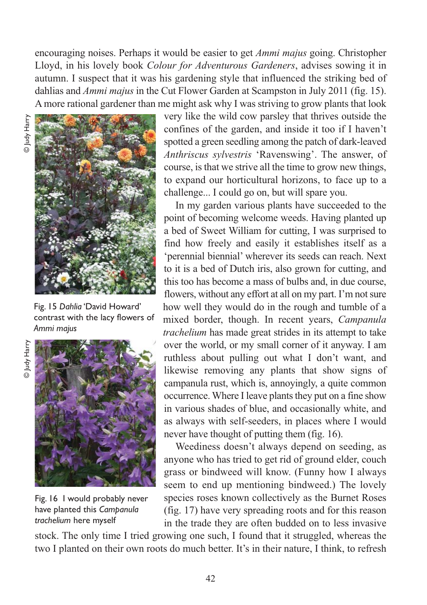encouraging noises. Perhaps it would be easier to get *Ammi majus* going. Christopher Lloyd, in his lovely book *Colour for Adventurous Gardeners*, advises sowing it in autumn. I suspect that it was his gardening style that influenced the striking bed of dahlias and *Ammi majus* in the Cut Flower Garden at Scampston in July 2011 (fig. 15). A more rational gardener than me might ask why I was striving to grow plants that look



Fig. 15 *Dahlia* 'David Howard' contrast with the lacy flowers of *Ammi majus*



Fig. 16 I would probably never have planted this *Campanula trachelium* here myself

very like the wild cow parsley that thrives outside the confines of the garden, and inside it too if I haven't spotted a green seedling among the patch of dark-leaved *Anthriscus sylvestris* 'Ravenswing'. The answer, of course, is that we strive all the time to grow new things, to expand our horticultural horizons, to face up to a challenge... I could go on, but will spare you.

In my garden various plants have succeeded to the point of becoming welcome weeds. Having planted up a bed of Sweet William for cutting, I was surprised to find how freely and easily it establishes itself as a 'perennial biennial' wherever its seeds can reach. Next to it is a bed of Dutch iris, also grown for cutting, and this too has become a mass of bulbs and, in due course, flowers, without any effort at all on my part. I'm not sure how well they would do in the rough and tumble of a mixed border, though. In recent years, *Campanula trachelium* has made great strides in its attempt to take over the world, or my small corner of it anyway. I am ruthless about pulling out what I don't want, and likewise removing any plants that show signs of campanula rust, which is, annoyingly, a quite common occurrence. Where I leave plants they put on a fine show in various shades of blue, and occasionally white, and as always with self-seeders, in places where I would never have thought of putting them (fig. 16).

Weediness doesn't always depend on seeding, as anyone who has tried to get rid of ground elder, couch grass or bindweed will know. (Funny how I always seem to end up mentioning bindweed.) The lovely species roses known collectively as the Burnet Roses (fig. 17) have very spreading roots and for this reason in the trade they are often budded on to less invasive

stock. The only time I tried growing one such, I found that it struggled, whereas the two I planted on their own roots do much better. It's in their nature, I think, to refresh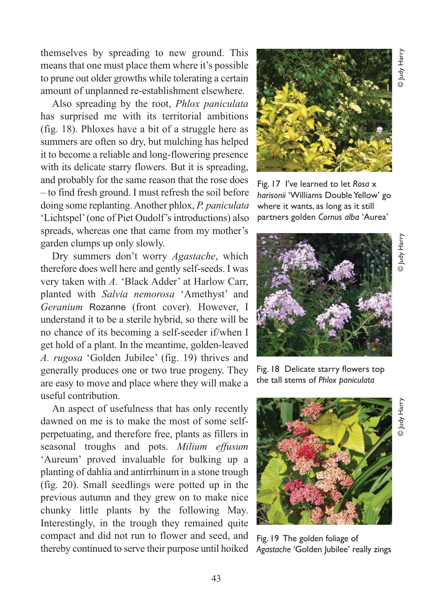themselves by spreading to new ground. This means that one must place them where it's possible to prune out older growths while tolerating a certain amount of unplanned re-establishment elsewhere.

Also spreading by the root, *Phlox paniculata* has surprised me with its territorial ambitions (fig. 18). Phloxes have a bit of a struggle here as summers are often so dry, but mulching has helped it to become a reliable and long-flowering presence with its delicate starry flowers. But it is spreading, and probably for the same reason that the rose does – to find fresh ground. I must refresh the soil before doing some replanting. Another phlox, *P. paniculata* 'Lichtspel' (one of Piet Oudolf's introductions) also spreads, whereas one that came from my mother's garden clumps up only slowly.

Dry summers don't worry *Agastache*, which therefore does well here and gently self-seeds. I was very taken with *A.* 'Black Adder' at Harlow Carr, planted with *Salvia nemorosa* 'Amethyst' and *Geranium* Rozanne (front cover). However, I understand it to be a sterile hybrid, so there will be no chance of its becoming a self-seeder if/when I get hold of a plant. In the meantime, golden-leaved *A. rugosa* 'Golden Jubilee' (fig. 19) thrives and generally produces one or two true progeny. They are easy to move and place where they will make a useful contribution.

An aspect of usefulness that has only recently dawned on me is to make the most of some selfperpetuating, and therefore free, plants as fillers in seasonal troughs and pots. *Milium effusum* 'Aureum' proved invaluable for bulking up a planting of dahlia and antirrhinum in a stone trough (fig. 20). Small seedlings were potted up in the previous autumn and they grew on to make nice chunky little plants by the following May. Interestingly, in the trough they remained quite compact and did not run to flower and seed, and thereby continued to serve their purpose until hoiked



Fig. 17 I've learned to let *Rosa* x *harisonii* 'Williams Double Yellow' go where it wants, as long as it still partners golden *Cornus alba* 'Aurea'



Fig. 18 Delicate starry flowers top the tall stems of *Phlox paniculata*



Fig. 19 The golden foliage of *Agastache* 'Golden Jubilee' really zings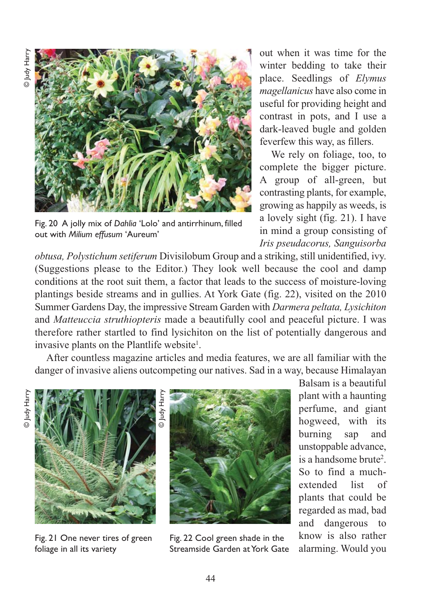

Fig. 20 A jolly mix of *Dahlia* 'Lolo' and antirrhinum, filled out with *Milium effusum* 'Aureum'

out when it was time for the winter bedding to take their place. Seedlings of *Elymus magellanicus* have also come in useful for providing height and contrast in pots, and I use a dark-leaved bugle and golden feverfew this way, as fillers.

We rely on foliage, too, to complete the bigger picture. A group of all-green, but contrasting plants, for example, growing as happily as weeds, is a lovely sight (fig. 21). I have in mind a group consisting of *Iris pseudacorus, Sanguisorba*

*obtusa, Polystichum setiferum* Divisilobum Group and a striking, still unidentified, ivy. (Suggestions please to the Editor.) They look well because the cool and damp conditions at the root suit them, a factor that leads to the success of moisture-loving plantings beside streams and in gullies. At York Gate (fig. 22), visited on the 2010 Summer Gardens Day, the impressive Stream Garden with *Darmera peltata, Lysichiton* and *Matteuccia struthiopteris* made a beautifully cool and peaceful picture. I was therefore rather startled to find lysichiton on the list of potentially dangerous and invasive plants on the Plantlife website<sup>1</sup>.

After countless magazine articles and media features, we are all familiar with the danger of invasive aliens outcompeting our natives. Sad in a way, because Himalayan



Fig. 21 One never tires of green foliage in all its variety



Fig. 22 Cool green shade in the Streamside Garden at York Gate

Balsam is a beautiful plant with a haunting perfume, and giant hogweed, with its burning sap and unstoppable advance, is a handsome brute<sup>2</sup>. So to find a muchextended list of plants that could be regarded as mad, bad and dangerous to know is also rather alarming. Would you